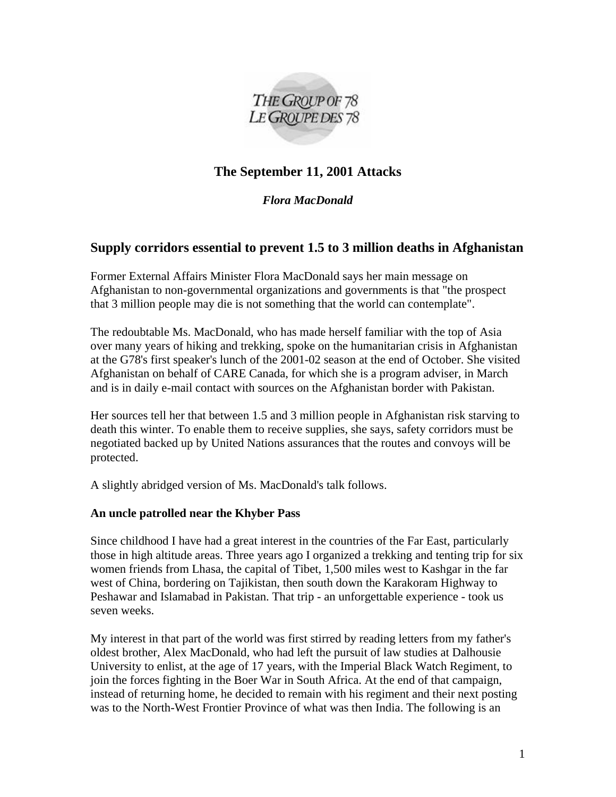

# **The September 11, 2001 Attacks**

*Flora MacDonald*

# **Supply corridors essential to prevent 1.5 to 3 million deaths in Afghanistan**

Former External Affairs Minister Flora MacDonald says her main message on Afghanistan to non-governmental organizations and governments is that "the prospect that 3 million people may die is not something that the world can contemplate".

The redoubtable Ms. MacDonald, who has made herself familiar with the top of Asia over many years of hiking and trekking, spoke on the humanitarian crisis in Afghanistan at the G78's first speaker's lunch of the 2001-02 season at the end of October. She visited Afghanistan on behalf of CARE Canada, for which she is a program adviser, in March and is in daily e-mail contact with sources on the Afghanistan border with Pakistan.

Her sources tell her that between 1.5 and 3 million people in Afghanistan risk starving to death this winter. To enable them to receive supplies, she says, safety corridors must be negotiated backed up by United Nations assurances that the routes and convoys will be protected.

A slightly abridged version of Ms. MacDonald's talk follows.

## **An uncle patrolled near the Khyber Pass**

Since childhood I have had a great interest in the countries of the Far East, particularly those in high altitude areas. Three years ago I organized a trekking and tenting trip for six women friends from Lhasa, the capital of Tibet, 1,500 miles west to Kashgar in the far west of China, bordering on Tajikistan, then south down the Karakoram Highway to Peshawar and Islamabad in Pakistan. That trip - an unforgettable experience - took us seven weeks.

My interest in that part of the world was first stirred by reading letters from my father's oldest brother, Alex MacDonald, who had left the pursuit of law studies at Dalhousie University to enlist, at the age of 17 years, with the Imperial Black Watch Regiment, to join the forces fighting in the Boer War in South Africa. At the end of that campaign, instead of returning home, he decided to remain with his regiment and their next posting was to the North-West Frontier Province of what was then India. The following is an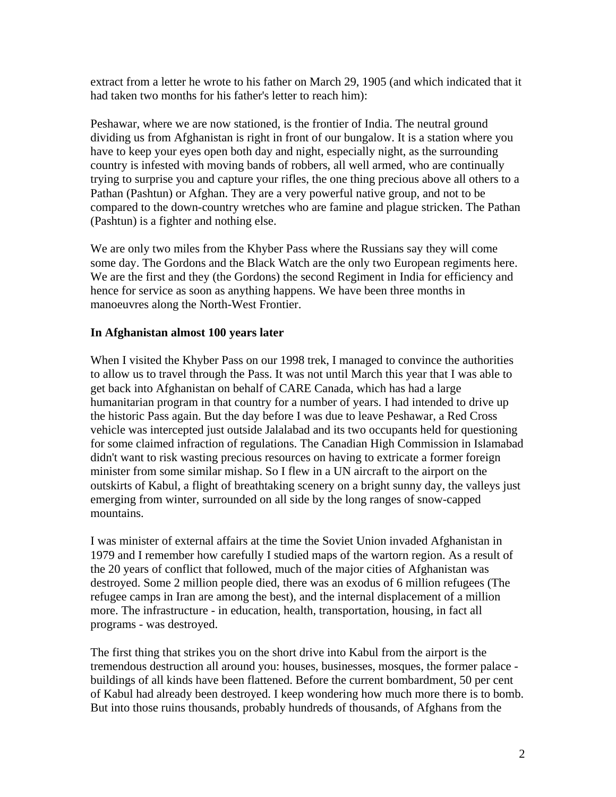extract from a letter he wrote to his father on March 29, 1905 (and which indicated that it had taken two months for his father's letter to reach him):

Peshawar, where we are now stationed, is the frontier of India. The neutral ground dividing us from Afghanistan is right in front of our bungalow. It is a station where you have to keep your eyes open both day and night, especially night, as the surrounding country is infested with moving bands of robbers, all well armed, who are continually trying to surprise you and capture your rifles, the one thing precious above all others to a Pathan (Pashtun) or Afghan. They are a very powerful native group, and not to be compared to the down-country wretches who are famine and plague stricken. The Pathan (Pashtun) is a fighter and nothing else.

We are only two miles from the Khyber Pass where the Russians say they will come some day. The Gordons and the Black Watch are the only two European regiments here. We are the first and they (the Gordons) the second Regiment in India for efficiency and hence for service as soon as anything happens. We have been three months in manoeuvres along the North-West Frontier.

#### **In Afghanistan almost 100 years later**

When I visited the Khyber Pass on our 1998 trek, I managed to convince the authorities to allow us to travel through the Pass. It was not until March this year that I was able to get back into Afghanistan on behalf of CARE Canada, which has had a large humanitarian program in that country for a number of years. I had intended to drive up the historic Pass again. But the day before I was due to leave Peshawar, a Red Cross vehicle was intercepted just outside Jalalabad and its two occupants held for questioning for some claimed infraction of regulations. The Canadian High Commission in Islamabad didn't want to risk wasting precious resources on having to extricate a former foreign minister from some similar mishap. So I flew in a UN aircraft to the airport on the outskirts of Kabul, a flight of breathtaking scenery on a bright sunny day, the valleys just emerging from winter, surrounded on all side by the long ranges of snow-capped mountains.

I was minister of external affairs at the time the Soviet Union invaded Afghanistan in 1979 and I remember how carefully I studied maps of the wartorn region. As a result of the 20 years of conflict that followed, much of the major cities of Afghanistan was destroyed. Some 2 million people died, there was an exodus of 6 million refugees (The refugee camps in Iran are among the best), and the internal displacement of a million more. The infrastructure - in education, health, transportation, housing, in fact all programs - was destroyed.

The first thing that strikes you on the short drive into Kabul from the airport is the tremendous destruction all around you: houses, businesses, mosques, the former palace buildings of all kinds have been flattened. Before the current bombardment, 50 per cent of Kabul had already been destroyed. I keep wondering how much more there is to bomb. But into those ruins thousands, probably hundreds of thousands, of Afghans from the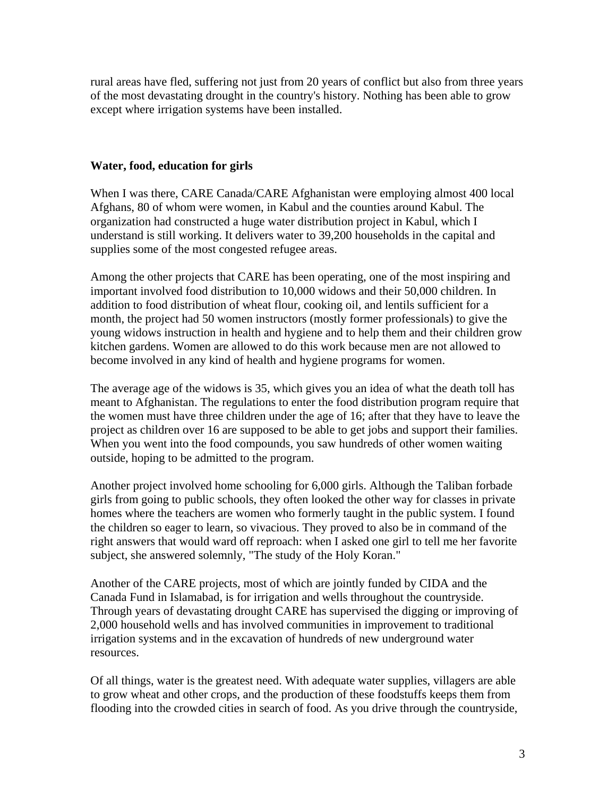rural areas have fled, suffering not just from 20 years of conflict but also from three years of the most devastating drought in the country's history. Nothing has been able to grow except where irrigation systems have been installed.

### **Water, food, education for girls**

When I was there, CARE Canada/CARE Afghanistan were employing almost 400 local Afghans, 80 of whom were women, in Kabul and the counties around Kabul. The organization had constructed a huge water distribution project in Kabul, which I understand is still working. It delivers water to 39,200 households in the capital and supplies some of the most congested refugee areas.

Among the other projects that CARE has been operating, one of the most inspiring and important involved food distribution to 10,000 widows and their 50,000 children. In addition to food distribution of wheat flour, cooking oil, and lentils sufficient for a month, the project had 50 women instructors (mostly former professionals) to give the young widows instruction in health and hygiene and to help them and their children grow kitchen gardens. Women are allowed to do this work because men are not allowed to become involved in any kind of health and hygiene programs for women.

The average age of the widows is 35, which gives you an idea of what the death toll has meant to Afghanistan. The regulations to enter the food distribution program require that the women must have three children under the age of 16; after that they have to leave the project as children over 16 are supposed to be able to get jobs and support their families. When you went into the food compounds, you saw hundreds of other women waiting outside, hoping to be admitted to the program.

Another project involved home schooling for 6,000 girls. Although the Taliban forbade girls from going to public schools, they often looked the other way for classes in private homes where the teachers are women who formerly taught in the public system. I found the children so eager to learn, so vivacious. They proved to also be in command of the right answers that would ward off reproach: when I asked one girl to tell me her favorite subject, she answered solemnly, "The study of the Holy Koran."

Another of the CARE projects, most of which are jointly funded by CIDA and the Canada Fund in Islamabad, is for irrigation and wells throughout the countryside. Through years of devastating drought CARE has supervised the digging or improving of 2,000 household wells and has involved communities in improvement to traditional irrigation systems and in the excavation of hundreds of new underground water resources.

Of all things, water is the greatest need. With adequate water supplies, villagers are able to grow wheat and other crops, and the production of these foodstuffs keeps them from flooding into the crowded cities in search of food. As you drive through the countryside,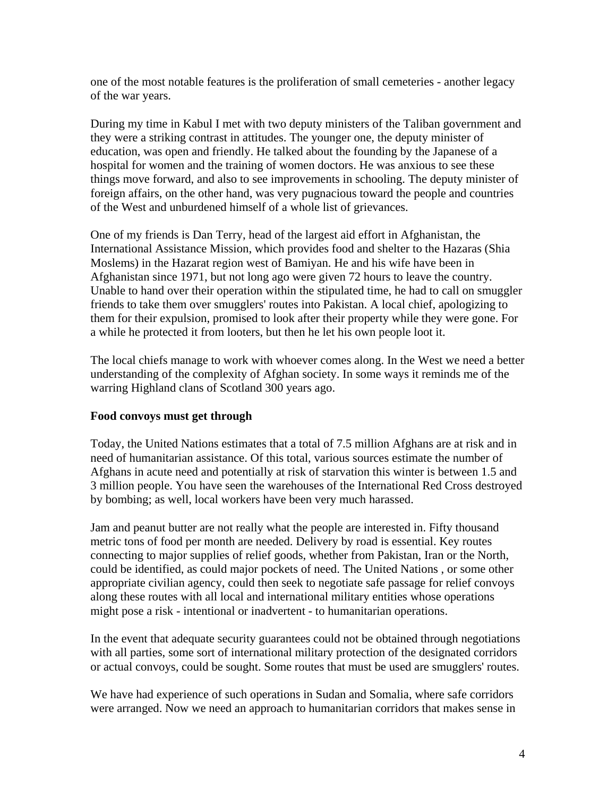one of the most notable features is the proliferation of small cemeteries - another legacy of the war years.

During my time in Kabul I met with two deputy ministers of the Taliban government and they were a striking contrast in attitudes. The younger one, the deputy minister of education, was open and friendly. He talked about the founding by the Japanese of a hospital for women and the training of women doctors. He was anxious to see these things move forward, and also to see improvements in schooling. The deputy minister of foreign affairs, on the other hand, was very pugnacious toward the people and countries of the West and unburdened himself of a whole list of grievances.

One of my friends is Dan Terry, head of the largest aid effort in Afghanistan, the International Assistance Mission, which provides food and shelter to the Hazaras (Shia Moslems) in the Hazarat region west of Bamiyan. He and his wife have been in Afghanistan since 1971, but not long ago were given 72 hours to leave the country. Unable to hand over their operation within the stipulated time, he had to call on smuggler friends to take them over smugglers' routes into Pakistan. A local chief, apologizing to them for their expulsion, promised to look after their property while they were gone. For a while he protected it from looters, but then he let his own people loot it.

The local chiefs manage to work with whoever comes along. In the West we need a better understanding of the complexity of Afghan society. In some ways it reminds me of the warring Highland clans of Scotland 300 years ago.

#### **Food convoys must get through**

Today, the United Nations estimates that a total of 7.5 million Afghans are at risk and in need of humanitarian assistance. Of this total, various sources estimate the number of Afghans in acute need and potentially at risk of starvation this winter is between 1.5 and 3 million people. You have seen the warehouses of the International Red Cross destroyed by bombing; as well, local workers have been very much harassed.

Jam and peanut butter are not really what the people are interested in. Fifty thousand metric tons of food per month are needed. Delivery by road is essential. Key routes connecting to major supplies of relief goods, whether from Pakistan, Iran or the North, could be identified, as could major pockets of need. The United Nations , or some other appropriate civilian agency, could then seek to negotiate safe passage for relief convoys along these routes with all local and international military entities whose operations might pose a risk - intentional or inadvertent - to humanitarian operations.

In the event that adequate security guarantees could not be obtained through negotiations with all parties, some sort of international military protection of the designated corridors or actual convoys, could be sought. Some routes that must be used are smugglers' routes.

We have had experience of such operations in Sudan and Somalia, where safe corridors were arranged. Now we need an approach to humanitarian corridors that makes sense in